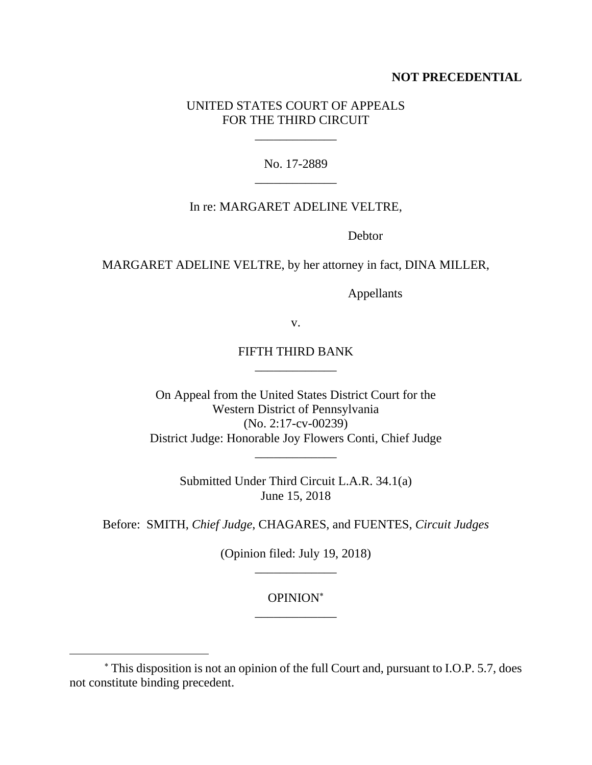## **NOT PRECEDENTIAL**

# UNITED STATES COURT OF APPEALS FOR THE THIRD CIRCUIT

\_\_\_\_\_\_\_\_\_\_\_\_\_

No. 17-2889 \_\_\_\_\_\_\_\_\_\_\_\_\_

## In re: MARGARET ADELINE VELTRE,

**Debtor** 

MARGARET ADELINE VELTRE, by her attorney in fact, DINA MILLER,

Appellants

v.

# FIFTH THIRD BANK \_\_\_\_\_\_\_\_\_\_\_\_\_

On Appeal from the United States District Court for the Western District of Pennsylvania (No. 2:17-cv-00239) District Judge: Honorable Joy Flowers Conti, Chief Judge

Submitted Under Third Circuit L.A.R. 34.1(a) June 15, 2018

\_\_\_\_\_\_\_\_\_\_\_\_\_

Before: SMITH, *Chief Judge*, CHAGARES, and FUENTES, *Circuit Judges*

(Opinion filed: July 19, 2018) \_\_\_\_\_\_\_\_\_\_\_\_\_

# OPINION \_\_\_\_\_\_\_\_\_\_\_\_\_

 $\overline{a}$ 

This disposition is not an opinion of the full Court and, pursuant to I.O.P. 5.7, does not constitute binding precedent.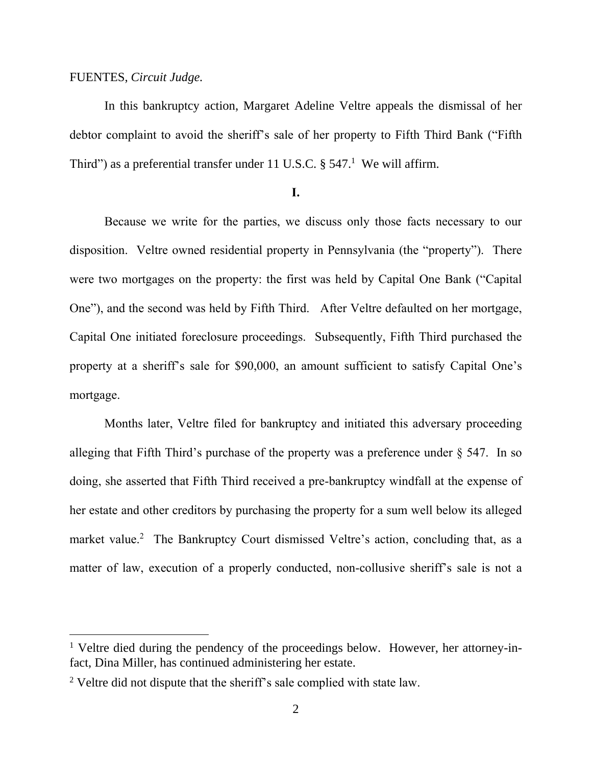### FUENTES, *Circuit Judge.*

 $\overline{a}$ 

In this bankruptcy action, Margaret Adeline Veltre appeals the dismissal of her debtor complaint to avoid the sheriff's sale of her property to Fifth Third Bank ("Fifth Third") as a preferential transfer under 11 U.S.C.  $\S 547$ .<sup>1</sup> We will affirm.

### **I.**

Because we write for the parties, we discuss only those facts necessary to our disposition. Veltre owned residential property in Pennsylvania (the "property"). There were two mortgages on the property: the first was held by Capital One Bank ("Capital One"), and the second was held by Fifth Third. After Veltre defaulted on her mortgage, Capital One initiated foreclosure proceedings. Subsequently, Fifth Third purchased the property at a sheriff's sale for \$90,000, an amount sufficient to satisfy Capital One's mortgage.

Months later, Veltre filed for bankruptcy and initiated this adversary proceeding alleging that Fifth Third's purchase of the property was a preference under  $\S$  547. In so doing, she asserted that Fifth Third received a pre-bankruptcy windfall at the expense of her estate and other creditors by purchasing the property for a sum well below its alleged market value.<sup>2</sup> The Bankruptcy Court dismissed Veltre's action, concluding that, as a matter of law, execution of a properly conducted, non-collusive sheriff's sale is not a

<sup>&</sup>lt;sup>1</sup> Veltre died during the pendency of the proceedings below. However, her attorney-infact, Dina Miller, has continued administering her estate.

<sup>&</sup>lt;sup>2</sup> Veltre did not dispute that the sheriff's sale complied with state law.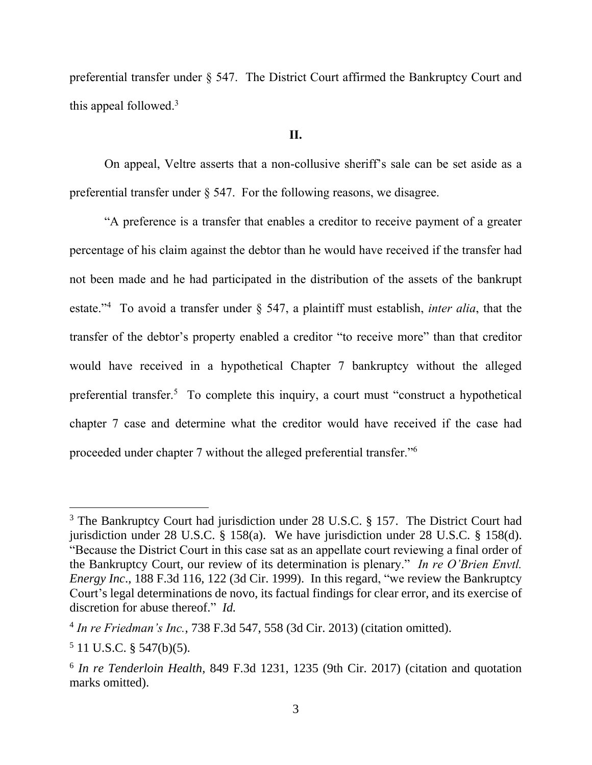preferential transfer under § 547. The District Court affirmed the Bankruptcy Court and this appeal followed.<sup>3</sup>

#### **II.**

On appeal, Veltre asserts that a non-collusive sheriff's sale can be set aside as a preferential transfer under § 547. For the following reasons, we disagree.

"A preference is a transfer that enables a creditor to receive payment of a greater percentage of his claim against the debtor than he would have received if the transfer had not been made and he had participated in the distribution of the assets of the bankrupt estate."<sup>4</sup> To avoid a transfer under § 547, a plaintiff must establish, *inter alia*, that the transfer of the debtor's property enabled a creditor "to receive more" than that creditor would have received in a hypothetical Chapter 7 bankruptcy without the alleged preferential transfer.<sup>5</sup> To complete this inquiry, a court must "construct a hypothetical chapter 7 case and determine what the creditor would have received if the case had proceeded under chapter 7 without the alleged preferential transfer."<sup>6</sup>

 $\overline{a}$ 

<sup>&</sup>lt;sup>3</sup> The Bankruptcy Court had jurisdiction under 28 U.S.C. § 157. The District Court had jurisdiction under 28 U.S.C. § 158(a). We have jurisdiction under 28 U.S.C. § 158(d). "Because the District Court in this case sat as an appellate court reviewing a final order of the Bankruptcy Court, our review of its determination is plenary." *In re O'Brien Envtl. Energy Inc*., 188 F.3d 116, 122 (3d Cir. 1999). In this regard, "we review the Bankruptcy Court's legal determinations de novo, its factual findings for clear error, and its exercise of discretion for abuse thereof." *Id.*

<sup>4</sup> *In re Friedman's Inc.*, 738 F.3d 547, 558 (3d Cir. 2013) (citation omitted).

 $5$  11 U.S.C. § 547(b)(5).

<sup>6</sup> *In re Tenderloin Health*, 849 F.3d 1231, 1235 (9th Cir. 2017) (citation and quotation marks omitted).